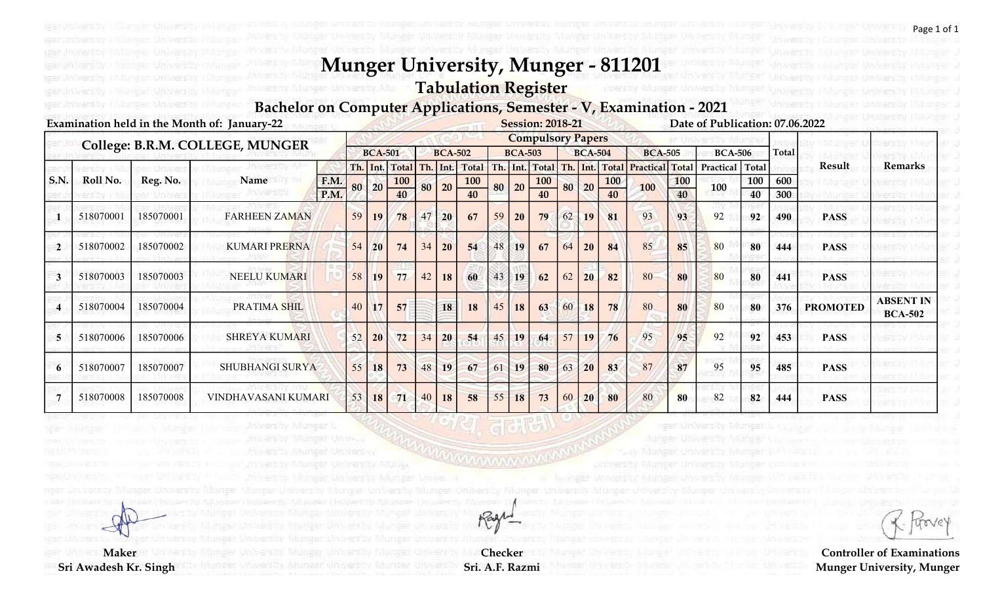## Tabulation Register

#### Bachelor on Computer Applications, Semester - V, Examination - 2021

|                | Examination held in the Month of: January-22<br><b>Session: 2018-21</b> |           |                        |      |                          |                |                |    |                |              |    |                |                |                |           |                |                        |            | Date of Publication: 07.06.2022 |     |     |                 |                                    |
|----------------|-------------------------------------------------------------------------|-----------|------------------------|------|--------------------------|----------------|----------------|----|----------------|--------------|----|----------------|----------------|----------------|-----------|----------------|------------------------|------------|---------------------------------|-----|-----|-----------------|------------------------------------|
|                | College: B.R.M. COLLEGE, MUNGER                                         |           |                        |      | <b>Compulsory Papers</b> |                |                |    |                |              |    |                |                |                |           |                |                        |            |                                 |     |     |                 |                                    |
|                |                                                                         |           | <b>BCA-501</b>         |      |                          | <b>BCA-502</b> |                |    | <b>BCA-503</b> |              |    | <b>BCA-504</b> |                | <b>BCA-505</b> |           | <b>BCA-506</b> |                        | Total      |                                 |     |     |                 |                                    |
|                |                                                                         |           |                        |      |                          |                | Th. Int. Total |    | Th. Int.       | <b>Total</b> |    |                | Th. Int. Total |                | Th. Int.  | <b>Total</b>   | <b>Practical Total</b> |            | Practical Total                 |     |     | Result          | <b>Remarks</b>                     |
| S.N.           | Roll No.                                                                | Reg. No.  | Name                   | F.M. | 80                       | $\boxed{20}$   | <b>100</b>     |    | 80 20          | <b>100</b>   |    | 80 20          | <b>100</b>     | 80             | 20        | <b>100</b>     | 100                    | <b>100</b> | 100                             | 100 | 600 |                 |                                    |
|                |                                                                         |           |                        | P.M. |                          |                | 40             |    |                |              |    |                | 40             |                |           | 40             |                        | 40         |                                 | 40  | 300 |                 |                                    |
|                | 518070001                                                               | 185070001 | <b>FARHEEN ZAMAN</b>   |      | 59                       | 19             | 78             | 47 | 20             | 67           | 59 | <b>20</b>      | 79             | 62             | <b>19</b> | 81             | 93                     | 93         | 92                              | 92  | 490 | <b>PASS</b>     |                                    |
| $\overline{2}$ | 518070002                                                               | 185070002 | <b>KUMARI PRERNA</b>   |      | 54                       | <b>20</b>      | 74             | 34 | 20             | 54           | 48 | 19             | 67             | 64             | 20        | 84             | 85                     | 85         | 80                              | 80  | 444 | <b>PASS</b>     |                                    |
| 3              | 518070003                                                               | 185070003 | <b>NEELU KUMARI</b>    |      | 58                       | 19             | 77             | 42 | 18             | 60           | 43 | 19             | 62             | 62             | 20        | 82             | 80                     | 80         | 80                              | 80  | 441 | <b>PASS</b>     |                                    |
|                | 518070004                                                               | 185070004 | PRATIMA SHIL           |      | 40                       | 17             | 57             |    | 18             | 18           | 45 | 18             | 63             | 60             | <b>18</b> | 78             | 80                     | 80         | 80                              | 80  | 376 | <b>PROMOTED</b> | <b>ABSENT IN</b><br><b>BCA-502</b> |
| 5              | 518070006                                                               | 185070006 | <b>SHREYA KUMARI</b>   |      | 52                       | 20             | 72             | 34 | 20             | 54           | 45 | 19             | 64             | 57             | 19        | 76             | 95                     | 95         | 92                              | 92  | 453 | <b>PASS</b>     |                                    |
| 6              | 518070007                                                               | 185070007 | <b>SHUBHANGI SURYA</b> |      | 55                       | 18             | 73             | 48 | 19             | 67           | 61 | 19             | 80             | 63             | 20        | 83             | 87                     | 87         | 95                              | 95  | 485 | <b>PASS</b>     |                                    |
|                | 518070008                                                               | 185070008 | VINDHAVASANI KUMARI    |      | 53                       | 18             | 71             | 40 | 18             | 58           | 55 | 18             | 73             | 60             | 20        | 80             | 80                     | 80         | 82                              | 82  | 444 | <b>PASS</b>     |                                    |

Checker Sri. A.F. Razmi

Rage

**Maker** 

Sri Awadesh Kr. Singh

ager: Anwersity III Aurgen Mowersity

torve

Page 1 of 1

Controller of Examinations Munger University, Munger

ger iun verstiy Kitu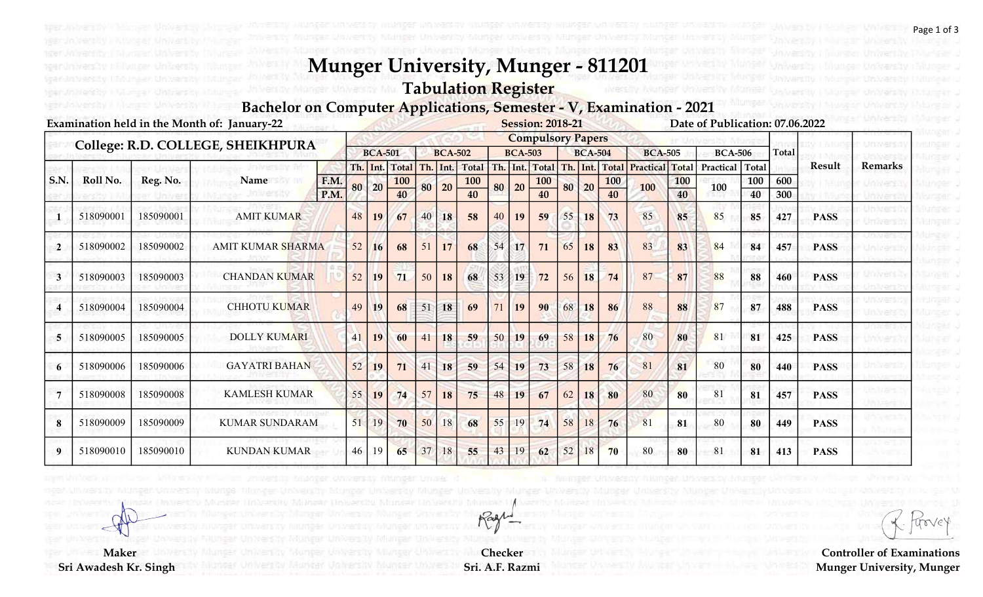Tabulation Register

#### Bachelor on Computer Applications, Semester - V, Examination - 2021

|                         | <b>Examination held in the Month of: January-22</b> | <b>Session: 2018-21</b><br>Date of Publication: 07.06.2022 |                          |              |    |       |                |     |                |              |     |                |                  |    |                |                  |                |                  |                |           |              |               |                |
|-------------------------|-----------------------------------------------------|------------------------------------------------------------|--------------------------|--------------|----|-------|----------------|-----|----------------|--------------|-----|----------------|------------------|----|----------------|------------------|----------------|------------------|----------------|-----------|--------------|---------------|----------------|
|                         |                                                     | <b>Compulsory Papers</b><br><b>BCA-501</b>                 |                          |              |    |       |                |     |                |              |     |                |                  |    |                |                  |                |                  |                |           |              |               |                |
|                         | College: R.D. COLLEGE, SHEIKHPURA                   |                                                            |                          |              |    |       |                |     | <b>BCA-502</b> |              |     | <b>BCA-503</b> |                  |    | <b>BCA-504</b> |                  | <b>BCA-505</b> |                  | <b>BCA-506</b> |           | <b>Total</b> |               |                |
| S.N.                    | Roll No.                                            | Reg. No.                                                   | Name                     |              |    |       | Th. Int. Total | Th. | Int.           | <b>Total</b> | Th. | $1$ Int.       | Total            |    |                | Th. Int. Total   | Practical      | <b>Total</b>     | Practical      | Total     |              | <b>Result</b> | <b>Remarks</b> |
|                         |                                                     |                                                            |                          | F.M.<br>P.M. |    | 80 20 | 100<br>40      | 80  | 20             | 100<br>40    | 80  | 20             | <b>100</b><br>40 | 80 | 20             | <b>100</b><br>40 | 100            | <b>100</b><br>40 | 100            | 100<br>40 | 600<br>300   |               |                |
|                         | 518090001                                           | 185090001                                                  | <b>AMIT KUMAR</b>        |              | 48 | 19    | 67             | 40  | 18             | 58           | 40  | 19             | 59               | 55 | 18             | 73               | 85             | 85               | 85             | 85        | 427          | <b>PASS</b>   |                |
| $\mathbf{2}$            | 518090002                                           | 185090002                                                  | <b>AMIT KUMAR SHARMA</b> |              | 52 | 16    | 68             | 51  | 17             | 68           | 54  | 17             | 71               | 65 | 18             | 83               | 83             | 83               | 84             | 84        | 457          | <b>PASS</b>   |                |
| 3                       | 518090003                                           | 185090003                                                  | <b>CHANDAN KUMAR</b>     |              | 52 | 19    | 71             | 50  | 18             | 68           | 53  | 19             | 72               | 56 | 18             | 74               | 87             | 87               | 88             | 88        | 460          | <b>PASS</b>   |                |
| $\overline{\mathbf{4}}$ | 518090004                                           | 185090004                                                  | <b>CHHOTU KUMAR</b>      |              | 49 | 19    | 68             | 51  | 18             | 69           | 71  | <b>19</b>      | 90               | 68 | 18             | 86               | 88             | 88               | 87             | 87        | 488          | <b>PASS</b>   |                |
| 5                       | 518090005                                           | 185090005                                                  | <b>DOLLY KUMARI</b>      |              | 41 | 19    | 60             | 41  | 18             | 59           | 50  | 19             | 69               | 58 | 18             | 76               | 80             | 80               | 81             | 81        | 425          | <b>PASS</b>   |                |
| 6                       | 518090006                                           | 185090006                                                  | <b>GAYATRI BAHAN</b>     |              | 52 | 19    | 71             | 41  | 18             | 59           | 54  | 19             | 73               | 58 | 18             | 76               | 81             | 81               | 80             | 80        | 440          | <b>PASS</b>   |                |
| $\overline{7}$          | 518090008                                           | 185090008                                                  | <b>KAMLESH KUMAR</b>     |              | 55 | 19    | 74             | 57  | 18             | 75           | 48  | 19             | 67               | 62 | 18             | 80               | 80             | 80               | 81             | 81        | 457          | <b>PASS</b>   |                |
| 8                       | 518090009                                           | 185090009                                                  | <b>KUMAR SUNDARAM</b>    |              | 51 | 19    | 70             | 50  | 18             | 68           | 55  | 19             | 74               | 58 | 18             | 76               | 81             | 81               | 80             | 80        | 449          | <b>PASS</b>   |                |
| 9                       | 518090010                                           | 185090010                                                  | <b>KUNDAN KUMAR</b>      |              | 46 | 19    | 65             | 37  | 18             | 55           | 43  | 19             | 62               | 52 | 18             | 70               | 80             | 80               | 81             | 81        | 413          | <b>PASS</b>   |                |

Checker Sri. A.F. Razmi

Ragh

**Maker** 

teer *inhers* by Hubberg and

Sri Awadesh Kr. Singh

toove

Page 1 of 3

Fillinger .

Sillinger J Wanger J

hlun≘ar J Mungar u

Murger .

Controller of Examinations Munger University, Munger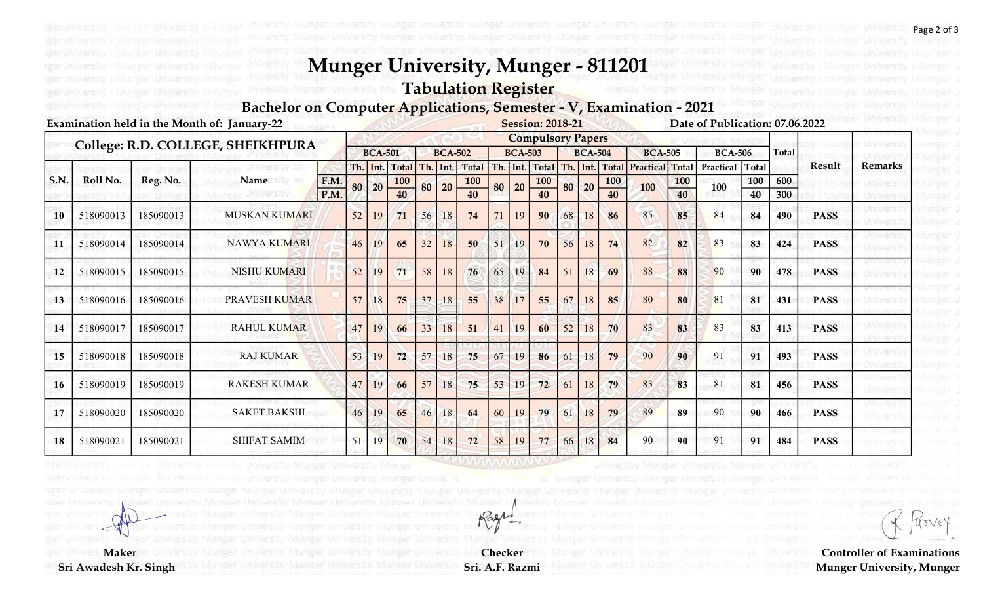Tabulation Register

#### Bachelor on Computer Applications, Semester - V, Examination - 2021

|      | Examination held in the Month of: January-22 |                                   |                          |                |    |       |                |                |          |       |                |      |                 | <b>Session: 2018-21</b> |      |                |           |                | Date of Publication: 07.06.2022 |              |     |             |                |
|------|----------------------------------------------|-----------------------------------|--------------------------|----------------|----|-------|----------------|----------------|----------|-------|----------------|------|-----------------|-------------------------|------|----------------|-----------|----------------|---------------------------------|--------------|-----|-------------|----------------|
|      |                                              | College: R.D. COLLEGE, SHEIKHPURA | <b>Compulsory Papers</b> |                |    |       |                |                |          |       |                |      |                 |                         |      |                |           |                |                                 |              |     |             |                |
|      |                                              |                                   |                          | <b>BCA-501</b> |    |       |                | <b>BCA-502</b> |          |       | <b>BCA-503</b> |      |                 | <b>BCA-504</b>          |      | <b>BCA-505</b> |           | <b>BCA-506</b> |                                 | <b>Total</b> |     |             |                |
|      |                                              |                                   |                          |                |    |       | Th. Int. Total |                | Th. Int. | Total | Th.            | Int. | <b>Total</b>    | Th.                     | Int. | <b>Total</b>   | Practical | <b>Total</b>   | Practical                       | Total        |     | Result      | <b>Remarks</b> |
| S.N. | Roll No.                                     | Reg. No.                          | Name                     | F.M.           |    | 80 20 | <b>100</b>     |                | 80 20    | 100   | 80             | 20   | <b>100</b>      | 80                      | 20   | <b>100</b>     | 100       | 100            | 100                             | 100          | 600 |             |                |
|      |                                              |                                   |                          | P.M.           |    |       | 40             |                |          | 40    |                |      | $\overline{40}$ |                         |      | 40             |           | 40             |                                 | 40           | 300 |             |                |
| 10   | 518090013                                    | 185090013                         | <b>MUSKAN KUMARI</b>     |                | 52 | 19    | 71             | 56             | 18       | 74    |                | 19   | 90              | 68                      | 18   | 86             | 85        | 85             | 84                              | 84           | 490 | <b>PASS</b> |                |
| 11   | 518090014                                    | 185090014                         | <b>NAWYA KUMARI</b>      |                | 46 | 19    | 65             | 32             | 18       | 50    | 51             | 19   | 70              | 56                      | 18   | 74             | 82        | 82             | 83                              | 83           | 424 | <b>PASS</b> |                |
| 12   | 518090015                                    | 185090015                         | <b>NISHU KUMARI</b>      |                | 52 | 19    | 71             | 58             | 18       | 76    | 65             | 19   | 84              | 51                      | 18   | 69             | 88        | 88             | 90                              | 90           | 478 | <b>PASS</b> |                |
| 13   | 518090016                                    | 185090016                         | PRAVESH KUMAR            |                | 57 | 18    | $75^{\circ}$   | 37             | 18       | 55    | 38             | 17   | 55              | 67                      | 18   | 85             | 80        | 80             | 81                              | 81           | 431 | <b>PASS</b> |                |
| 14   | 518090017                                    | 185090017                         | <b>RAHUL KUMAR</b>       |                | 47 | 19    | 66             | 33             | 18       | 51    | 41             | 19   | 60              | 52                      | 18   | 70             | 83        | 83             | 83                              | 83           | 413 | <b>PASS</b> |                |
| 15   | 518090018                                    | 185090018                         | <b>RAJ KUMAR</b>         |                | 53 | 19    | 72             | 57             | 18       | 75    | 67             | 19   | 86              | 61                      | 18   | 79             | 90        | 90             | 91                              | 91           | 493 | <b>PASS</b> |                |
| 16   | 518090019                                    | 185090019                         | <b>RAKESH KUMAR</b>      |                | 47 | 19    | 66             | 57             | 18       | 75    | 53             | 19   | 72              | 61                      | 18   | 79             | 83        | 83             | 81                              | 81           | 456 | <b>PASS</b> |                |
| 17   | 518090020                                    | 185090020                         | <b>SAKET BAKSHI</b>      |                | 46 | 19    | 65             | 46             | 18       | 64    | 60             | 19   | 79              | 61                      | 18   | 79             | 89        | 89             | 90                              | 90           | 466 | <b>PASS</b> |                |
| 18   | 518090021                                    | 185090021                         | <b>SHIFAT SAMIM</b>      |                | 51 | 19    | 70             | 54             | 18       | 72    | 58             | 19   | 77              | 66                      | 18   | 84             | 90        | 90             | 91                              | 91           | 484 | <b>PASS</b> |                |

Munger University Munja

trove

Controller of Examinations Munger University, Munger

 Maker Sri Awadesh Kr. Singh

ater Australia (f

Checker Sri. A.F. Razmi

Rage

Page 2 of 3

Filonear U

Mineer J

**Nursen** Mungerod

Mungario